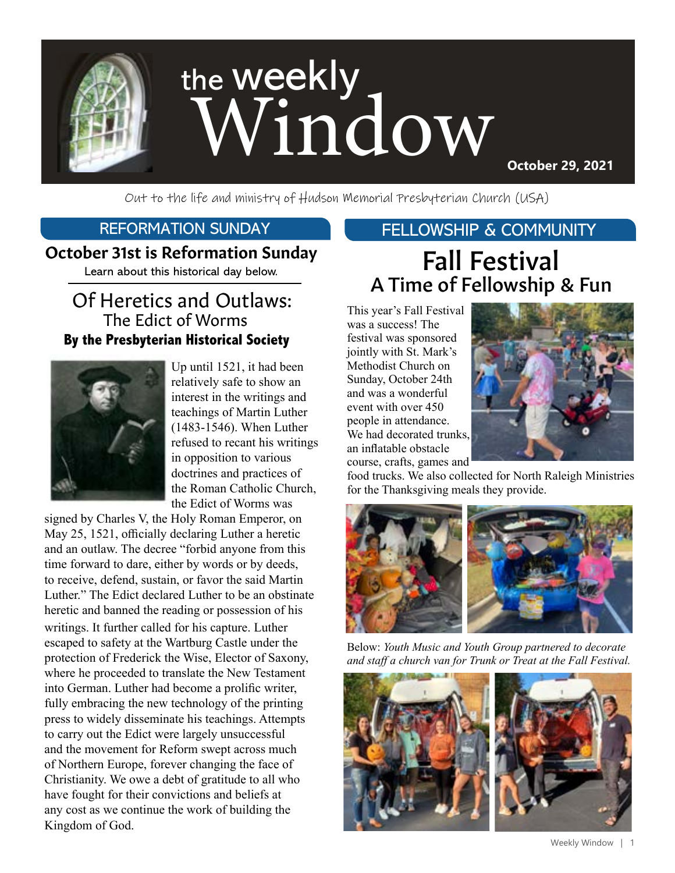

Out to the life and ministry of Hudson Memorial Presbyterian Church (USA)

#### REFORMATION SUNDAY

#### October 31st is Reformation Sunday

Learn about this historical day below.

## Of Heretics and Outlaws: **By the Presbyterian Historical Society** The Edict of Worms



Up until 1521, it had been relatively safe to show an interest in the writings and teachings of Martin Luther (1483-1546). When Luther refused to recant his writings in opposition to various doctrines and practices of the Roman Catholic Church, the Edict of Worms was

signed by Charles V, the Holy Roman Emperor, on May 25, 1521, officially declaring Luther a heretic and an outlaw. The decree "forbid anyone from this time forward to dare, either by words or by deeds, to receive, defend, sustain, or favor the said Martin Luther." The Edict declared Luther to be an obstinate heretic and banned the reading or possession of his writings. It further called for his capture. Luther escaped to safety at the Wartburg Castle under the protection of Frederick the Wise, Elector of Saxony, where he proceeded to translate the New Testament into German. Luther had become a prolific writer, fully embracing the new technology of the printing press to widely disseminate his teachings. Attempts to carry out the Edict were largely unsuccessful and the movement for Reform swept across much of Northern Europe, forever changing the face of Christianity. We owe a debt of gratitude to all who have fought for their convictions and beliefs at any cost as we continue the work of building the Kingdom of God.

### FELLOWSHIP & COMMUNITY

# Fall Festival A Time of Fellowship & Fun

This year's Fall Festival was a success! The festival was sponsored jointly with St. Mark's Methodist Church on Sunday, October 24th and was a wonderful event with over 450 people in attendance. We had decorated trunks, an inflatable obstacle course, crafts, games and



food trucks. We also collected for North Raleigh Ministries for the Thanksgiving meals they provide.



Below: *Youth Music and Youth Group partnered to decorate and staff a church van for Trunk or Treat at the Fall Festival.*

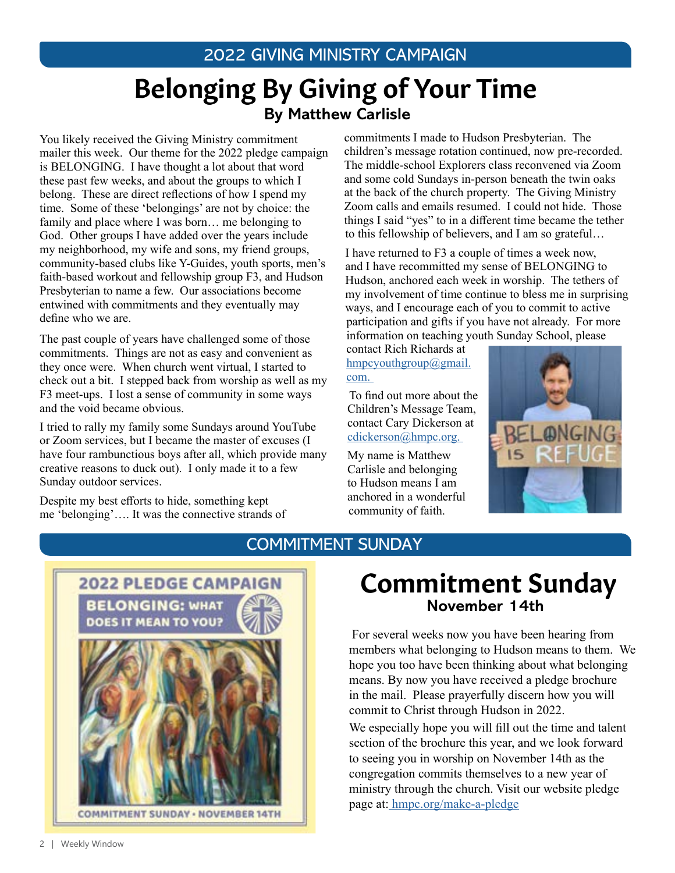# Belonging By Giving of Your Time **By Matthew Carlisle**

You likely received the Giving Ministry commitment mailer this week. Our theme for the 2022 pledge campaign is BELONGING. I have thought a lot about that word these past few weeks, and about the groups to which I belong. These are direct reflections of how I spend my time. Some of these 'belongings' are not by choice: the family and place where I was born… me belonging to God. Other groups I have added over the years include my neighborhood, my wife and sons, my friend groups, community-based clubs like Y-Guides, youth sports, men's faith-based workout and fellowship group F3, and Hudson Presbyterian to name a few. Our associations become entwined with commitments and they eventually may define who we are.

The past couple of years have challenged some of those commitments. Things are not as easy and convenient as they once were. When church went virtual, I started to check out a bit. I stepped back from worship as well as my F3 meet-ups. I lost a sense of community in some ways and the void became obvious.

I tried to rally my family some Sundays around YouTube or Zoom services, but I became the master of excuses (I have four rambunctious boys after all, which provide many creative reasons to duck out). I only made it to a few Sunday outdoor services.

Despite my best efforts to hide, something kept me 'belonging'…. It was the connective strands of commitments I made to Hudson Presbyterian. The children's message rotation continued, now pre-recorded. The middle-school Explorers class reconvened via Zoom and some cold Sundays in-person beneath the twin oaks at the back of the church property. The Giving Ministry Zoom calls and emails resumed. I could not hide. Those things I said "yes" to in a different time became the tether to this fellowship of believers, and I am so grateful…

I have returned to F3 a couple of times a week now, and I have recommitted my sense of BELONGING to Hudson, anchored each week in worship. The tethers of my involvement of time continue to bless me in surprising ways, and I encourage each of you to commit to active participation and gifts if you have not already. For more information on teaching youth Sunday School, please

contact Rich Richards at [hmpcyouthgroup@gmail.](mailto:hmpcyouthgroup%40gmail.com?subject=) [com.](mailto:hmpcyouthgroup%40gmail.com?subject=) 

 To find out more about the Children's Message Team, contact Cary Dickerson at [cdickerson@hmpc.org.](mailto:cdickerson%40hmpc.org?subject=) 

My name is Matthew Carlisle and belonging to Hudson means I am anchored in a wonderful community of faith.



### COMMITMENT SUNDAY



# Commitment Sunday **November 14th**

For several weeks now you have been hearing from members what belonging to Hudson means to them. We hope you too have been thinking about what belonging means. By now you have received a pledge brochure in the mail. Please prayerfully discern how you will commit to Christ through Hudson in 2022. We especially hope you will fill out the time and talent section of the brochure this year, and we look forward to seeing you in worship on November 14th as the congregation commits themselves to a new year of ministry through the church. Visit our website pledge page at: [hmpc.org/make-a-pledge](https://www.hmpc.org/make-a-pledge)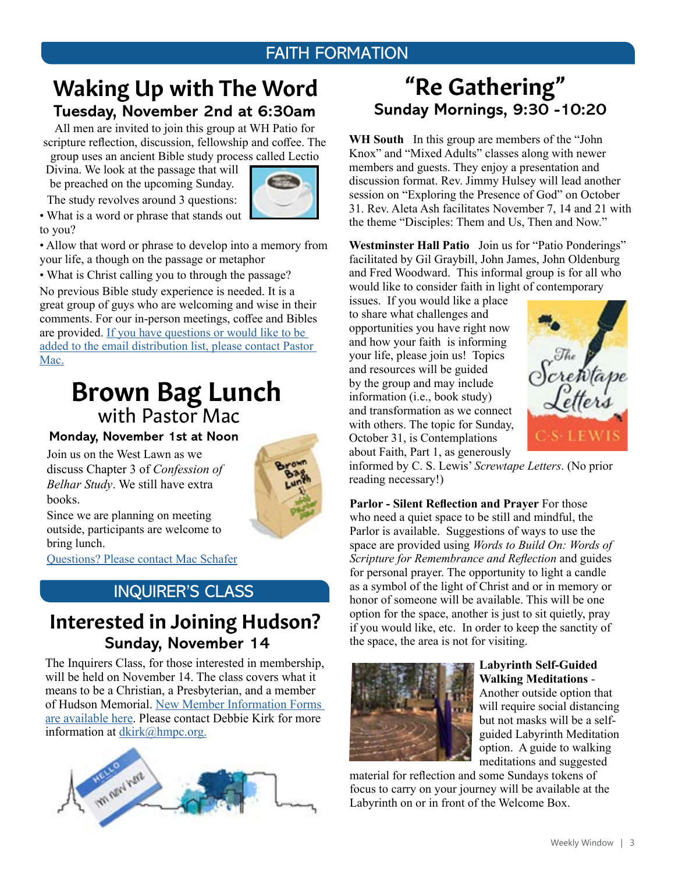### FAITH FORMATION

# **Tuesday, November 2nd at 6:30am**  Waking Up with The Word

All men are invited to join this group at WH Patio for scripture reflection, discussion, fellowship and coffee. The group uses an ancient Bible study process called Lectio

Divina. We look at the passage that will be preached on the upcoming Sunday.

The study revolves around 3 questions:



• What is a word or phrase that stands out to you?

• Allow that word or phrase to develop into a memory from your life, a though on the passage or metaphor

• What is Christ calling you to through the passage?

No previous Bible study experience is needed. It is a great group of guys who are welcoming and wise in their comments. For our in-person meetings, coffee and Bibles are provided. [If you have questions or would like to be](mailto:mschafer%40hmpc.org?subject=)  [added to the email distribution list, please contact Pastor](mailto:mschafer%40hmpc.org?subject=)  [Mac.](mailto:mschafer%40hmpc.org?subject=)

# Brown Bag Lunch with Pastor Mac

**Monday, November 1st at Noon**

Join us on the West Lawn as we discuss Chapter 3 of *Confession of Belhar Study*. We still have extra books.



Since we are planning on meeting outside, participants are welcome to bring lunch.

[Questions? Please contact Mac Schafer](mailto:mschafer%40hmpc.org?subject=)

## INQUIRER'S CLASS

## **Sunday, November 14** Interested in Joining Hudson?

The Inquirers Class, for those interested in membership, will be held on November 14. The class covers what it means to be a Christian, a Presbyterian, and a member of Hudson Memorial. [New Member Information Forms](https://www.hmpc.org/join-hmpc)  [are available here.](https://www.hmpc.org/join-hmpc) Please contact Debbie Kirk for more information at [dkirk@hmpc.org.](mailto:dkirk%40hmpc.org?subject=)



# **Sunday Mornings, 9:30 -10:20** "Re Gathering"

**WH South** In this group are members of the "John Knox" and "Mixed Adults" classes along with newer members and guests. They enjoy a presentation and discussion format. Rev. Jimmy Hulsey will lead another session on "Exploring the Presence of God" on October 31. Rev. Aleta Ash facilitates November 7, 14 and 21 with the theme "Disciples: Them and Us, Then and Now."

**Westminster Hall Patio** Join us for "Patio Ponderings" facilitated by Gil Graybill, John James, John Oldenburg and Fred Woodward. This informal group is for all who would like to consider faith in light of contemporary

issues. If you would like a place to share what challenges and opportunities you have right now and how your faith is informing your life, please join us! Topics and resources will be guided by the group and may include information (i.e., book study) and transformation as we connect with others. The topic for Sunday, October 31, is Contemplations about Faith, Part 1, as generously



informed by C. S. Lewis' *Screwtape Letters*. (No prior reading necessary!)

**Parlor - Silent Reflection and Prayer** For those who need a quiet space to be still and mindful, the Parlor is available. Suggestions of ways to use the space are provided using *Words to Build On: Words of Scripture for Remembrance and Reflection* and guides for personal prayer. The opportunity to light a candle as a symbol of the light of Christ and or in memory or honor of someone will be available. This will be one option for the space, another is just to sit quietly, pray if you would like, etc. In order to keep the sanctity of the space, the area is not for visiting.



#### **Labyrinth Self-Guided Walking Meditations** -

Another outside option that will require social distancing but not masks will be a selfguided Labyrinth Meditation option. A guide to walking meditations and suggested

material for reflection and some Sundays tokens of focus to carry on your journey will be available at the Labyrinth on or in front of the Welcome Box.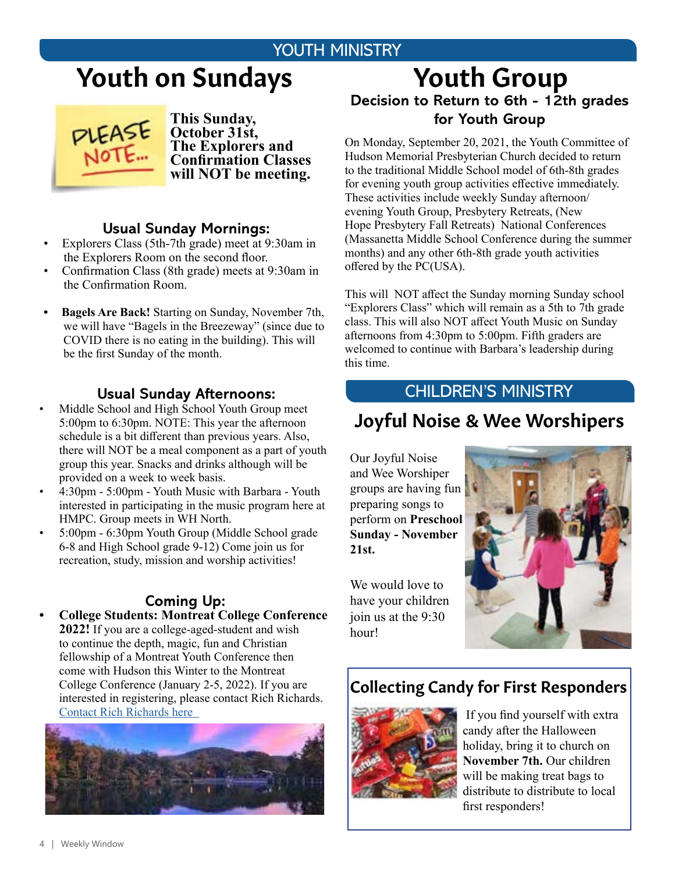## YOUTH MINISTRY

# Youth on Sundays



**This Sunday, October 31st, The Explorers and Confirmation Classes will NOT be meeting.** 

#### **Usual Sunday Mornings:**

- Explorers Class (5th-7th grade) meet at 9:30am in the Explorers Room on the second floor.
- Confirmation Class (8th grade) meets at 9:30am in the Confirmation Room.
- **• Bagels Are Back!** Starting on Sunday, November 7th, we will have "Bagels in the Breezeway" (since due to COVID there is no eating in the building). This will be the first Sunday of the month.

#### **Usual Sunday Afternoons:**

- Middle School and High School Youth Group meet 5:00pm to 6:30pm. NOTE: This year the afternoon schedule is a bit different than previous years. Also, there will NOT be a meal component as a part of youth group this year. Snacks and drinks although will be provided on a week to week basis.
- 4:30pm 5:00pm Youth Music with Barbara Youth interested in participating in the music program here at HMPC. Group meets in WH North.
- 5:00pm 6:30pm Youth Group (Middle School grade 6-8 and High School grade 9-12) Come join us for recreation, study, mission and worship activities!

### **Coming Up:**

**• College Students: Montreat College Conference 2022!** If you are a college-aged-student and wish to continue the depth, magic, fun and Christian fellowship of a Montreat Youth Conference then come with Hudson this Winter to the Montreat College Conference (January 2-5, 2022). If you are interested in registering, please contact Rich Richards. [Contact Rich Richards here](mailto:rrichards%40hmpc.org?subject=) 



## Youth Group **Decision to Return to 6th - 12th grades for Youth Group**

On Monday, September 20, 2021, the Youth Committee of Hudson Memorial Presbyterian Church decided to return to the traditional Middle School model of 6th-8th grades for evening youth group activities effective immediately. These activities include weekly Sunday afternoon/ evening Youth Group, Presbytery Retreats, (New Hope Presbytery Fall Retreats) National Conferences (Massanetta Middle School Conference during the summer months) and any other 6th-8th grade youth activities offered by the PC(USA).

This will NOT affect the Sunday morning Sunday school "Explorers Class" which will remain as a 5th to 7th grade class. This will also NOT affect Youth Music on Sunday afternoons from 4:30pm to 5:00pm. Fifth graders are welcomed to continue with Barbara's leadership during this time.

### CHILDREN'S MINISTRY

# Joyful Noise & Wee Worshipers

Our Joyful Noise and Wee Worshiper groups are having fun preparing songs to perform on **Preschool Sunday - November 21st.** 

We would love to have your children join us at the 9:30 hour!



### Collecting Candy for First Responders



 If you find yourself with extra candy after the Halloween holiday, bring it to church on **November 7th.** Our children will be making treat bags to distribute to distribute to local first responders!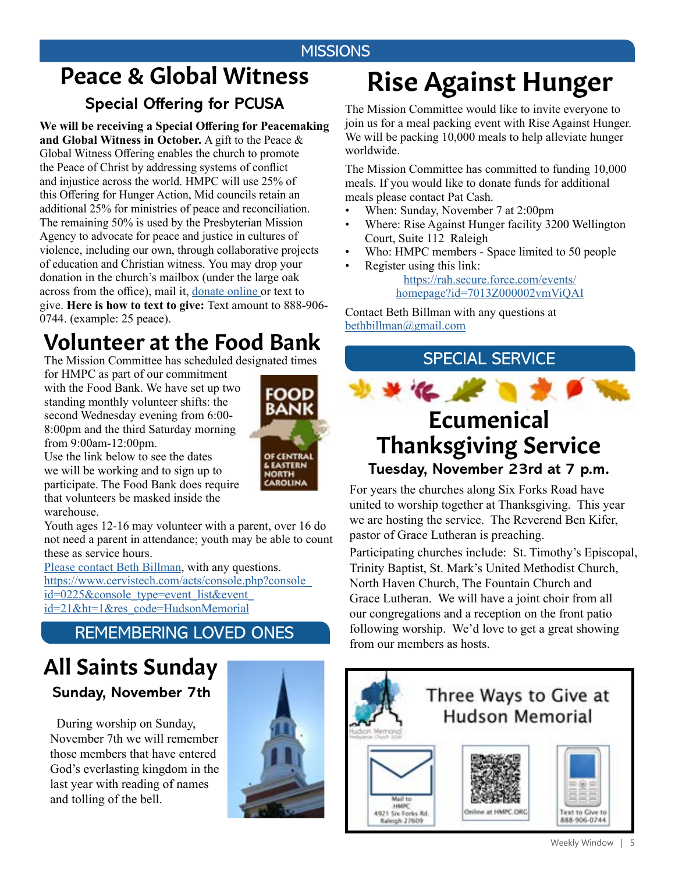### **MISSIONS**

# Peace & Global Witness **Special Offering for PCUSA**

**We will be receiving a Special Offering for Peacemaking and Global Witness in October.** A gift to the Peace & Global Witness Offering enables the church to promote the Peace of Christ by addressing systems of conflict and injustice across the world. HMPC will use 25% of this Offering for Hunger Action, Mid councils retain an additional 25% for ministries of peace and reconciliation. The remaining 50% is used by the Presbyterian Mission Agency to advocate for peace and justice in cultures of violence, including our own, through collaborative projects of education and Christian witness. You may drop your donation in the church's mailbox (under the large oak across from the office), mail it, [donate online o](https://www.eservicepayments.com/cgi-bin/Vanco_ver3.vps?appver3=Fi1giPL8kwX_Oe1AO50jRnQ574HZh5kFEHVJ6e5We_Us4NSQukCYDzKLUtTTUlsf2EvVVAEjqawDomKT1pbouTsRltlX7QEmZN4jxtbsYBc=&ver=3)r text to give. **Here is how to text to give:** Text amount to 888-906- 0744. (example: 25 peace).

# Volunteer at the Food Bank

The Mission Committee has scheduled designated times

for HMPC as part of our commitment with the Food Bank. We have set up two standing monthly volunteer shifts: the second Wednesday evening from 6:00- 8:00pm and the third Saturday morning from 9:00am-12:00pm.



Use the link below to see the dates we will be working and to sign up to participate. The Food Bank does require that volunteers be masked inside the warehouse.

Youth ages 12-16 may volunteer with a parent, over 16 do not need a parent in attendance; youth may be able to count these as service hours.

[Please contact Beth Billman](mailto:bbillman%40nc.rr.com?subject=), with any questions. [https://www.cervistech.com/acts/console.php?console\\_](https://www.cervistech.com/acts/console.php?console_id=0225&console_type=event_list&event_id=21&ht=1&res_code=HudsonMemorial) [id=0225&console\\_type=event\\_list&event\\_](https://www.cervistech.com/acts/console.php?console_id=0225&console_type=event_list&event_id=21&ht=1&res_code=HudsonMemorial) [id=21&ht=1&res\\_code=HudsonMemorial](https://www.cervistech.com/acts/console.php?console_id=0225&console_type=event_list&event_id=21&ht=1&res_code=HudsonMemorial)

## REMEMBERING LOVED ONES

# **Sunday, November 7th** All Saints Sunday

 During worship on Sunday, November 7th we will remember those members that have entered God's everlasting kingdom in the last year with reading of names and tolling of the bell.



# Rise Against Hunger

The Mission Committee would like to invite everyone to join us for a meal packing event with Rise Against Hunger. We will be packing 10,000 meals to help alleviate hunger worldwide.

The Mission Committee has committed to funding 10,000 meals. If you would like to donate funds for additional meals please contact Pat Cash.

- When: Sunday, November 7 at 2:00pm
- Where: Rise Against Hunger facility 3200 Wellington Court, Suite 112 Raleigh
- Who: HMPC members Space limited to 50 people
- Register using this link: [https://rah.secure.force.com/events/](https://rah.secure.force.com/events/homepage?id=7013Z000002vmViQAI) [homepage?id=7013Z000002vmViQAI](https://rah.secure.force.com/events/homepage?id=7013Z000002vmViQAI)

Contact Beth Billman with any questions at [bethbillman@gmail.com](mailto:bethbillman%40gmail.com%20?subject=)

SPECIAL SERVICE



# Ecumenical Thanksgiving Service

**Tuesday, November 23rd at 7 p.m.**

For years the churches along Six Forks Road have united to worship together at Thanksgiving. This year we are hosting the service. The Reverend Ben Kifer, pastor of Grace Lutheran is preaching.

Participating churches include: St. Timothy's Episcopal, Trinity Baptist, St. Mark's United Methodist Church, North Haven Church, The Fountain Church and Grace Lutheran. We will have a joint choir from all our congregations and a reception on the front patio following worship. We'd love to get a great showing from our members as hosts.

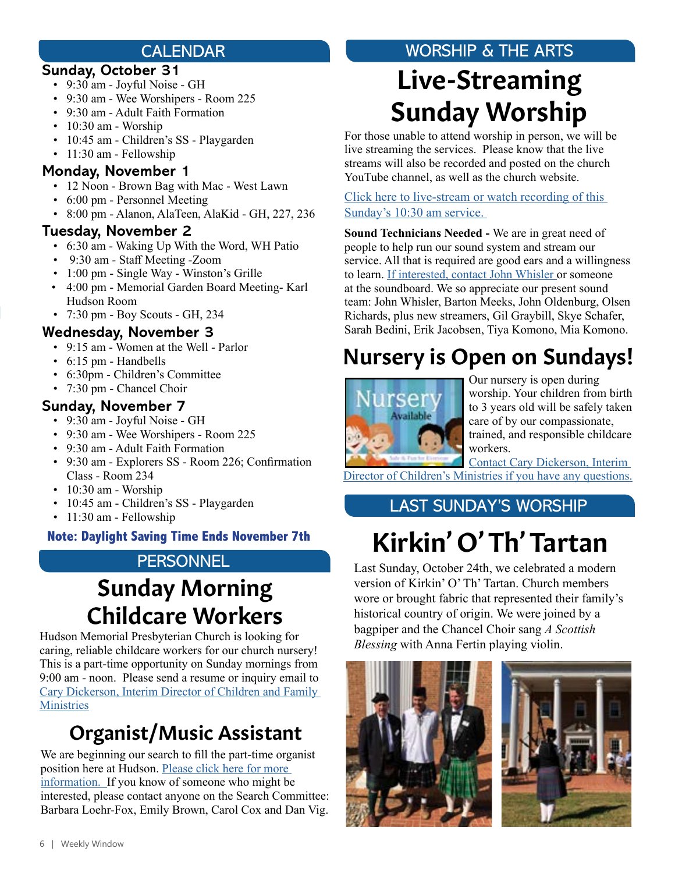### CALENDAR

### **Sunday, October 31**

- 9:30 am Joyful Noise GH
- 9:30 am Wee Worshipers Room 225
- 9:30 am Adult Faith Formation
- 10:30 am Worship
- 10:45 am Children's SS Playgarden
- 11:30 am Fellowship

#### **Monday, November 1**

- 12 Noon Brown Bag with Mac West Lawn
- 6:00 pm Personnel Meeting
- 8:00 pm Alanon, AlaTeen, AlaKid GH, 227, 236

### **Tuesday, November 2**

- 6:30 am Waking Up With the Word, WH Patio
- 9:30 am Staff Meeting -Zoom
- 1:00 pm Single Way Winston's Grille
- 4:00 pm Memorial Garden Board Meeting- Karl Hudson Room
- 7:30 pm Boy Scouts GH, 234

### **Wednesday, November 3**

- 9:15 am Women at the Well Parlor
- 6:15 pm Handbells
- 6:30pm Children's Committee
- 7:30 pm Chancel Choir

### **Sunday, November 7**

- 9:30 am Joyful Noise GH
- 9:30 am Wee Worshipers Room 225
- 9:30 am Adult Faith Formation
- 9:30 am Explorers SS Room 226; Confirmation Class - Room 234
- 10:30 am Worship
- 10:45 am Children's SS Playgarden
- 11:30 am Fellowship

# **PERSONNEL**

# Sunday Morning Childcare Workers

Hudson Memorial Presbyterian Church is looking for caring, reliable childcare workers for our church nursery! This is a part-time opportunity on Sunday mornings from 9:00 am - noon. Please send a resume or inquiry email to [Cary Dickerson, Interim Director of Children and Family](mailto:cdickerson%40hmpc.org?subject=)  **[Ministries](mailto:cdickerson%40hmpc.org?subject=)** 

# Organist/Music Assistant

We are beginning our search to fill the part-time organist position here at Hudson. [Please click here for more](https://www.hmpc.org/job-openings)  [information.](https://www.hmpc.org/job-openings) If you know of someone who might be interested, please contact anyone on the Search Committee: Barbara Loehr-Fox, Emily Brown, Carol Cox and Dan Vig.

# WORSHIP & THE ARTS

# Live-Streaming Sunday Worship

For those unable to attend worship in person, we will be live streaming the services. Please know that the live streams will also be recorded and posted on the church YouTube channel, as well as the church website.

[Click here to live-stream or watch recording of this](https://www.youtube.com/channel/UCuYf7XqKx9g_Mc0_BsPkWlA)  [Sunday's 10:30 am service.](https://www.youtube.com/channel/UCuYf7XqKx9g_Mc0_BsPkWlA)

**Sound Technicians Needed -** We are in great need of people to help run our sound system and stream our service. All that is required are good ears and a willingness to learn. [If interested, contact](mailto:john.w.whisler%40gmail.com?subject=) John Whisler or someone at the soundboard. We so appreciate our present sound team: John Whisler, Barton Meeks, John Oldenburg, Olsen Richards, plus new streamers, Gil Graybill, Skye Schafer, Sarah Bedini, Erik Jacobsen, Tiya Komono, Mia Komono.

# Nursery is Open on Sundays!



Our nursery is open during worship. Your children from birth to 3 years old will be safely taken care of by our compassionate, trained, and responsible childcare workers.

[Contact Cary Dickerson, Interim](mailto:cdickerson%40hmpc.org?subject=)  [Director of Children's Ministries if you have any questions.](mailto:cdickerson%40hmpc.org?subject=)

## LAST SUNDAY'S WORSHIP

# Kirkin' O' Th' Tartan **Note: Daylight Saving Time Ends November 7th**

Last Sunday, October 24th, we celebrated a modern version of Kirkin' O' Th' Tartan. Church members wore or brought fabric that represented their family's historical country of origin. We were joined by a bagpiper and the Chancel Choir sang *A Scottish Blessing* with Anna Fertin playing violin.



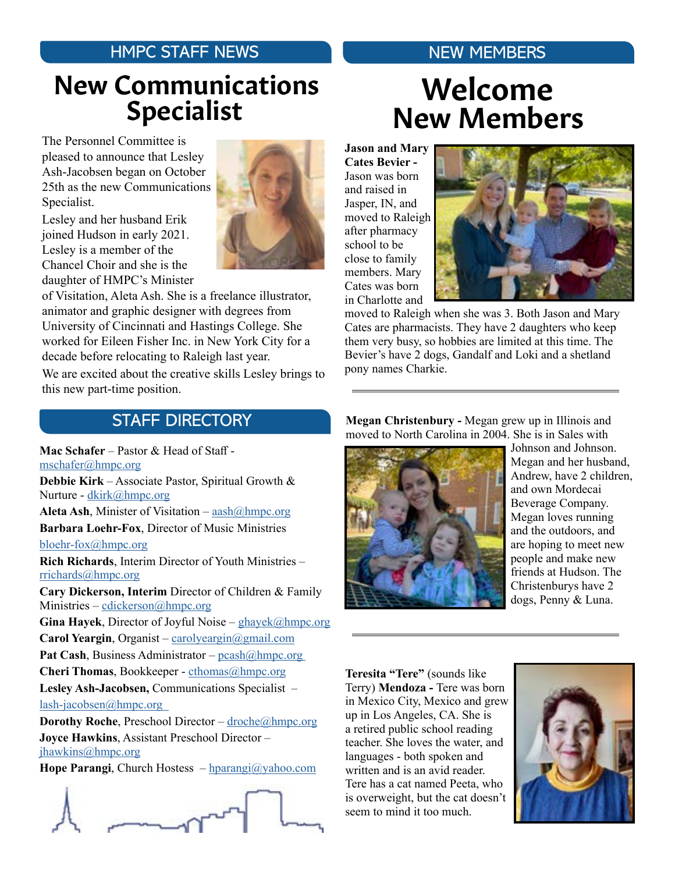### HMPC STAFF NEWS

# Specialist New Communications

The Personnel Committee is pleased to announce that Lesley Ash-Jacobsen began on October 25th as the new Communications Specialist.

Lesley and her husband Erik joined Hudson in early 2021. Lesley is a member of the Chancel Choir and she is the daughter of HMPC's Minister

of Visitation, Aleta Ash. She is a freelance illustrator, animator and graphic designer with degrees from University of Cincinnati and Hastings College. She worked for Eileen Fisher Inc. in New York City for a decade before relocating to Raleigh last year.

We are excited about the creative skills Lesley brings to this new part-time position.

# NEW MEMBERS

# New Members Welcome

**Jason and Mary Cates Bevier -**  Jason was born and raised in Jasper, IN, and moved to Raleigh after pharmacy school to be close to family members. Mary Cates was born in Charlotte and



moved to Raleigh when she was 3. Both Jason and Mary Cates are pharmacists. They have 2 daughters who keep them very busy, so hobbies are limited at this time. The Bevier's have 2 dogs, Gandalf and Loki and a shetland pony names Charkie.

## STAFF DIRECTORY

**Mac Schafer** – Pastor & Head of Staff [mschafer@hmpc.org](mailto:mschafer%40hmpc.org?subject=) **Debbie Kirk** – Associate Pastor, Spiritual Growth &

Nurture - [dkirk@hmpc.org](mailto:dkirk%40hmpc.org?subject=) **Aleta Ash**, Minister of Visitation – [aash@hmpc.org](mailto:aash%40hmpc.org?subject=)

**Barbara Loehr-Fox**, Director of Music Ministries

bloehr-fo[x@hmpc.org](mailto:bloehr-fox%40hmpc.org?subject=)

**Rich Richards**, Interim Director of Youth Ministries – [rrichards@hmpc.org](mailto:rrichards%40hmpc.org?subject=)

**Cary Dickerson, Interim** Director of Children & Family Ministries – cdickerso[n@hmpc.org](mailto:cdickerson%40hmpc.org?subject=)

**Gina Hayek**, Director of Joyful Noise – [ghayek@hmpc.org](mailto:ghayek%40hmpc.org?subject=) **Carol Yeargin**, Organist – [carolyeargin@gmail.com](mailto:carolyeargin%40gmail.com?subject=) Pat Cash, Business Administrator – pcash@hmpc.org **Cheri Thomas**, Bookkeeper - [cthomas@hmpc.org](mailto:cthomas%40hmpc.org?subject=) **Lesley Ash-Jacobsen,** Communications Specialist – [lash-jacobsen@hmpc.org](mailto:lash-jacobsen%40hmpc.org%20%20?subject=) 

**Dorothy Roche**, Preschool Director – [droche@hmpc.org](mailto:droche%40hmpc.org?subject=) **Joyce Hawkins**, Assistant Preschool Director – [jhawkins@hmpc.org](mailto:jhawkins%40hmpc.org?subject=)

**Hope Parangi**, Church Hostess – [hparangi@yahoo.com](mailto:hparangi%40yahoo.com?subject=)



**Megan Christenbury -** Megan grew up in Illinois and moved to North Carolina in 2004. She is in Sales with



Johnson and Johnson. Megan and her husband, Andrew, have 2 children, and own Mordecai Beverage Company. Megan loves running and the outdoors, and are hoping to meet new people and make new friends at Hudson. The Christenburys have 2 dogs, Penny & Luna.

**Teresita "Tere"** (sounds like Terry) **Mendoza -** Tere was born in Mexico City, Mexico and grew up in Los Angeles, CA. She is a retired public school reading teacher. She loves the water, and languages - both spoken and written and is an avid reader. Tere has a cat named Peeta, who is overweight, but the cat doesn't seem to mind it too much.